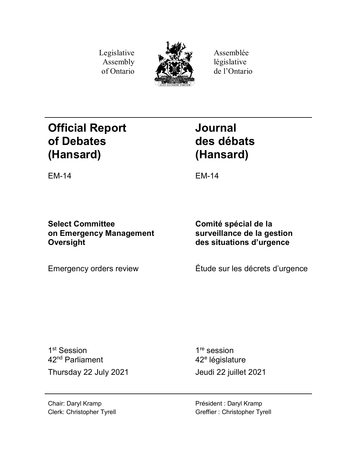Legislative Assembly of Ontario



Assemblée législative de l'Ontario

# **Official Report of Debates (Hansard)**

**Journal des débats (Hansard)**

EM-14 EM-14

**Select Committee on Emergency Management Oversight**

**Comité spécial de la surveillance de la gestion des situations d'urgence**

Emergency orders review Étude sur les décrets d'urgence

1<sup>st</sup> Session 42nd Parliament Thursday 22 July 2021 Jeudi 22 juillet 2021

1<sup>re</sup> session 42<sup>e</sup> législature

Chair: Daryl Kramp Clerk: Christopher Tyrell Président : Daryl Kramp Greffier : Christopher Tyrell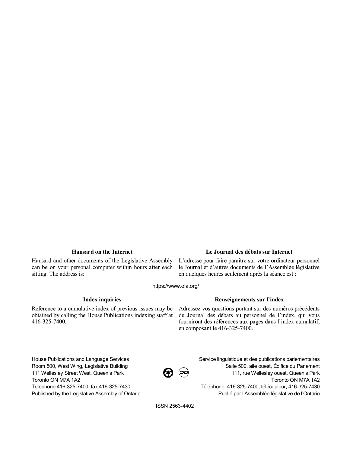Hansard and other documents of the Legislative Assembly can be on your personal computer within hours after each sitting. The address is:

## **Hansard on the Internet Le Journal des débats sur Internet**

L'adresse pour faire paraître sur votre ordinateur personnel le Journal et d'autres documents de l'Assemblée législative en quelques heures seulement après la séance est :

https://www.ola.org/

Reference to a cumulative index of previous issues may be obtained by calling the House Publications indexing staff at 416-325-7400.

### **Index inquiries Renseignements sur l'index**

Adressez vos questions portant sur des numéros précédents du Journal des débats au personnel de l'index, qui vous fourniront des références aux pages dans l'index cumulatif, en composant le 416-325-7400.

House Publications and Language Services Room 500, West Wing, Legislative Building 111 Wellesley Street West, Queen's Park Toronto ON M7A 1A2 Telephone 416-325-7400; fax 416-325-7430 Published by the Legislative Assembly of Ontario

 $\bigcircled{R}$   $\circledcirc$ 

Service linguistique et des publications parlementaires Salle 500, aile ouest, Édifice du Parlement 111, rue Wellesley ouest, Queen's Park Toronto ON M7A 1A2 Téléphone, 416-325-7400; télécopieur, 416-325-7430 Publié par l'Assemblée législative de l'Ontario

ISSN 2563-4402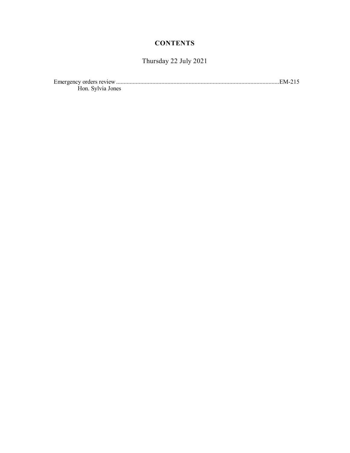## **CONTENTS**

## Thursday 22 July 2021

| $\overline{\phantom{0}}$<br>Emergency orders review. |  |
|------------------------------------------------------|--|
| Hon Sylvia Jones                                     |  |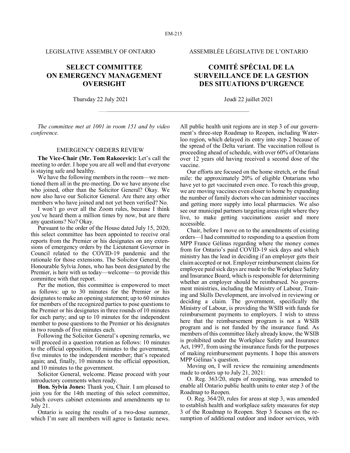## **SELECT COMMITTEE ON EMERGENCY MANAGEMENT OVERSIGHT**

Thursday 22 July 2021 Jeudi 22 juillet 2021

*The committee met at 1001 in room 151 and by video conference.*

#### EMERGENCY ORDERS REVIEW

**The Vice-Chair (Mr. Tom Rakocevic):** Let's call the meeting to order. I hope you are all well and that everyone is staying safe and healthy.

We have the following members in the room—we mentioned them all in the pre-meeting. Do we have anyone else who joined, other than the Solicitor General? Okay. We now also have our Solicitor General. Are there any other members who have joined and not yet been verified? No.

I won't go over all the Zoom rules, because I think you've heard them a million times by now, but are there any questions? No? Okay.

Pursuant to the order of the House dated July 15, 2020, this select committee has been appointed to receive oral reports from the Premier or his designates on any extensions of emergency orders by the Lieutenant Governor in Council related to the COVID-19 pandemic and the rationale for those extensions. The Solicitor General, the Honourable Sylvia Jones, who has been designated by the Premier, is here with us today—welcome—to provide this committee with that report.

Per the motion, this committee is empowered to meet as follows: up to 30 minutes for the Premier or his designates to make an opening statement; up to 60 minutes for members of the recognized parties to pose questions to the Premier or his designates in three rounds of 10 minutes for each party; and up to 10 minutes for the independent member to pose questions to the Premier or his designates in two rounds of five minutes each.

Following the Solicitor General's opening remarks, we will proceed in a question rotation as follows: 10 minutes to the official opposition, 10 minutes to the government, five minutes to the independent member; that's repeated again; and, finally, 10 minutes to the official opposition, and 10 minutes to the government.

Solicitor General, welcome. Please proceed with your introductory comments when ready.

**Hon. Sylvia Jones:** Thank you, Chair. I am pleased to join you for the 14th meeting of this select committee, which covers cabinet extensions and amendments up to July 21.

Ontario is seeing the results of a two-dose summer, which I'm sure all members will agree is fantastic news.

LEGISLATIVE ASSEMBLY OF ONTARIO ASSEMBLÉE LÉGISLATIVE DE L'ONTARIO

## **COMITÉ SPÉCIAL DE LA SURVEILLANCE DE LA GESTION DES SITUATIONS D'URGENCE**

All public health unit regions are in step 3 of our government's three-step Roadmap to Reopen, including Waterloo region, which delayed its entry into step 2 because of the spread of the Delta variant. The vaccination rollout is proceeding ahead of schedule, with over 60% of Ontarians over 12 years old having received a second dose of the vaccine.

Our efforts are focused on the home stretch, or the final mile: the approximately 20% of eligible Ontarians who have yet to get vaccinated even once. To reach this group, we are moving vaccines even closer to home by expanding the number of family doctors who can administer vaccines and getting more supply into local pharmacies. We also see our municipal partners targeting areas right where they live, to make getting vaccinations easier and more accessible.

Chair, before I move on to the amendments of existing orders—I had committed to responding to a question from MPP France Gélinas regarding where the money comes from for Ontario's paid COVID-19 sick days and which ministry has the lead in deciding if an employer gets their claim accepted or not. Employer reimbursement claims for employee paid sick days are made to the Workplace Safety and Insurance Board, which is responsible for determining whether an employer should be reimbursed. No government ministries, including the Ministry of Labour, Training and Skills Development, are involved in reviewing or deciding a claim. The government, specifically the Ministry of Labour, is providing the WSIB with funds for reimbursement payments to employers. I wish to stress here that the reimbursement program is not a WSIB program and is not funded by the insurance fund. As members of this committee likely already know, the WSIB is prohibited under the Workplace Safety and Insurance Act, 1997, from using the insurance funds for the purposes of making reimbursement payments. I hope this answers MPP Gélinas's question.

Moving on, I will review the remaining amendments made to orders up to July 21, 2021:

O. Reg. 363/20, steps of reopening, was amended to enable all Ontario public health units to enter step 3 of the Roadmap to Reopen.

O. Reg. 364/20, rules for areas at step 3, was amended to establish health and workplace safety measures for step 3 of the Roadmap to Reopen. Step 3 focuses on the resumption of additional outdoor and indoor services, with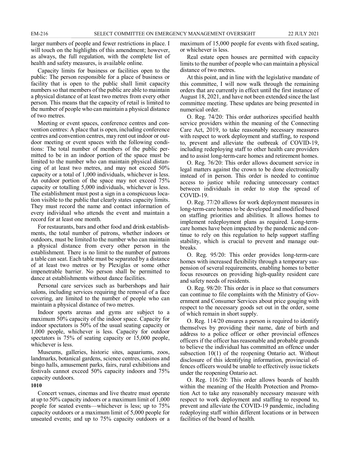larger numbers of people and fewer restrictions in place. I will touch on the highlights of this amendment; however, as always, the full regulation, with the complete list of health and safety measures, is available online.

Capacity limits for business or facilities open to the public: The person responsible for a place of business or facility that is open to the public shall limit capacity numbers so that members of the public are able to maintain a physical distance of at least two metres from every other person. This means that the capacity of retail is limited to the number of people who can maintain a physical distance of two metres.

Meeting or event spaces, conference centres and convention centres: A place that is open, including conference centres and convention centres, may rent out indoor or outdoor meeting or event spaces with the following conditions: The total number of members of the public permitted to be in an indoor portion of the space must be limited to the number who can maintain physical distancing of at least two metres, and may not exceed 50% capacity or a total of 1,000 individuals, whichever is less. An outdoor portion of the space may not exceed 75% capacity or totalling 5,000 individuals, whichever is less. The establishment must post a sign in a conspicuous location visible to the public that clearly states capacity limits. They must record the name and contact information of every individual who attends the event and maintain a record for at least one month.

For restaurants, bars and other food and drink establishments, the total number of patrons, whether indoors or outdoors, must be limited to the number who can maintain a physical distance from every other person in the establishment. There is no limit to the number of patrons a table can seat. Each table must be separated by a distance of at least two metres or by Plexiglas or some other impenetrable barrier. No person shall be permitted to dance at establishments without dance facilities.

Personal care services such as barbershops and hair salons, including services requiring the removal of a face covering, are limited to the number of people who can maintain a physical distance of two metres.

Indoor sports arenas and gyms are subject to a maximum 50% capacity of the indoor space. Capacity for indoor spectators is 50% of the usual seating capacity or 1,000 people, whichever is less. Capacity for outdoor spectators is 75% of seating capacity or 15,000 people, whichever is less.

Museums, galleries, historic sites, aquariums, zoos, landmarks, botanical gardens, science centres, casinos and bingo halls, amusement parks, fairs, rural exhibitions and festivals cannot exceed 50% capacity indoors and 75% capacity outdoors.

#### **1010**

Concert venues, cinemas and live theatre must operate at up to 50% capacity indoors or a maximum limit of 1,000 people for seated events—whichever is less; up to 75% capacity outdoors or a maximum limit of 5,000 people for unseated events; and up to 75% capacity outdoors or a maximum of 15,000 people for events with fixed seating, or whichever is less.

Real estate open houses are permitted with capacity limits to the number of people who can maintain a physical distance of two metres.

At this point, and in line with the legislative mandate of this committee, I will now walk through the remaining orders that are currently in effect until the first instance of August 18, 2021, and have not been extended since the last committee meeting. These updates are being presented in numerical order.

O. Reg. 74/20: This order authorizes specified health service providers within the meaning of the Connecting Care Act, 2019, to take reasonably necessary measures with respect to work deployment and staffing, to respond to, prevent and alleviate the outbreak of COVID-19, including redeploying staff to other health care providers and to assist long-term-care homes and retirement homes.

O. Reg. 76/20: This order allows document service in legal matters against the crown to be done electronically instead of in person. This order is needed to continue access to justice while reducing unnecessary contact between individuals in order to stop the spread of COVID-19.

O. Reg. 77/20 allows for work deployment measures in long-term-care homes to be developed and modified based on staffing priorities and abilities. It allows homes to implement redeployment plans as required. Long-termcare homes have been impacted by the pandemic and continue to rely on this regulation to help support staffing stability, which is crucial to prevent and manage outbreaks.

O. Reg. 95/20: This order provides long-term-care homes with increased flexibility through a temporary suspension of several requirements, enabling homes to better focus resources on providing high-quality resident care and safety needs of residents.

O. Reg. 98/20: This order is in place so that consumers can continue to file complaints with the Ministry of Government and Consumer Services about price gouging with respect to the necessary goods set out in the order, some of which remain in short supply.

O. Reg. 114/20 ensures a person is required to identify themselves by providing their name, date of birth and address to a police officer or other provincial offences officers if the officer has reasonable and probable grounds to believe the individual has committed an offence under subsection 10(1) of the reopening Ontario act. Without disclosure of this identifying information, provincial offences officers would be unable to effectively issue tickets under the reopening Ontario act.

O. Reg. 116/20: This order allows boards of health within the meaning of the Health Protection and Promotion Act to take any reasonably necessary measure with respect to work deployment and staffing to respond to, prevent and alleviate the COVID-19 pandemic, including redeploying staff within different locations or in between facilities of the board of health.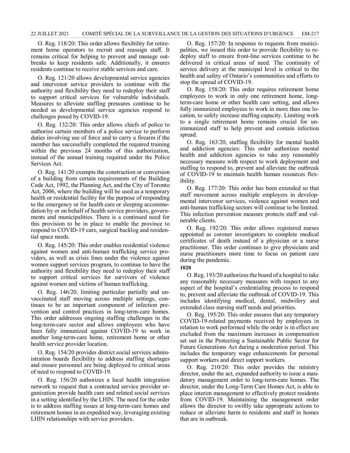O. Reg. 118/20: This order allows flexibility for retirement home operators to recruit and reassign staff. It remains critical for helping to prevent and manage outbreaks to keep residents safe. Additionally, it ensures residents continue to receive stable services and care.

O. Reg. 121/20 allows developmental service agencies and intervenor service providers to continue with the authority and flexibility they need to redeploy their staff to support critical services for vulnerable individuals. Measures to alleviate staffing pressures continue to be needed as developmental service agencies respond to challenges posed by COVID-19.

O. Reg. 132/20: This order allows chiefs of police to authorize certain members of a police service to perform duties involving use of force and to carry a firearm if the member has successfully completed the required training within the previous 24 months of this authorization, instead of the annual training required under the Police Services Act.

O. Reg. 141/20 exempts the construction or conversion of a building from certain requirements of the Building Code Act, 1992, the Planning Act, and the City of Toronto Act, 2006, where the building will be used as a temporary health or residential facility for the purpose of responding to the emergency or for health care or sleeping accommodation by or on behalf of health service providers, governments and municipalities. There is a continued need for this provision to be in place to enable the province to respond to COVID-19 care, surgical backlog and residential space needs.

O. Reg. 145/20: This order enables residential violence against women and anti-human trafficking service providers, as well as crisis lines under the violence against women support services program, to continue to have the authority and flexibility they need to redeploy their staff to support critical services for survivors of violence against women and victims of human trafficking.

O. Reg. 146/20, limiting particular partially and unvaccinated staff moving across multiple settings, continues to be an important component of infection prevention and control practices in long-term-care homes. This order addresses ongoing staffing challenges in the long-term-care sector and allows employees who have been fully immunized against COVID-19 to work in another long-term-care home, retirement home or other health service provider location.

O. Reg. 154/20 provides district social services administration boards flexibility to address staffing shortages and ensure personnel are being deployed to critical areas of need to respond to COVID-19.

O. Reg. 156/20 authorizes a local health integration network to request that a contracted service provider organization provide health care and related social services in a setting identified by the LHIN. The need for the order is to address staffing issues at long-term-care homes and retirement homes in an expedited way, leveraging existing LHIN relationships with service providers.

O. Reg. 157/20: In response to requests from municipalities, we issued this order to provide flexibility to redeploy staff to ensure front-line services continue to be delivered in critical areas of need. The continuity of service delivery at the municipal level is critical to the health and safety of Ontario's communities and efforts to stop the spread of COVID-19.

O. Reg. 158/20: This order requires retirement home employees to work in only one retirement home, longterm-care home or other health care setting, and allows fully immunized employees to work in more than one location, to safely increase staffing capacity. Limiting work to a single retirement home remains crucial for unimmunized staff to help prevent and contain infection spread.

O. Reg. 163/20, staffing flexibility for mental health and addiction agencies: This order authorizes mental health and addiction agencies to take any reasonably necessary measure with respect to work deployment and staffing to respond to, prevent and alleviate the outbreak of COVID-19 to maintain health human resources flexibility.

O. Reg. 177/20: This order has been extended so that staff movement across multiple employers in developmental intervenor services, violence against women and anti-human trafficking sectors will continue to be limited. This infection prevention measure protects staff and vulnerable clients.

O. Reg. 192/20: This order allows registered nurses appointed as coroner investigators to complete medical certificates of death instead of a physician or a nurse practitioner. This order continues to give physicians and nurse practitioners more time to focus on patient care during the pandemic.

#### **1020**

O. Reg. 193/20 authorizes the board of a hospital to take any reasonably necessary measures with respect to any aspect of the hospital's credentialing process to respond to, prevent and alleviate the outbreak of COVID-19. This includes identifying medical, dental, midwifery and extended class nursing staff needs and priorities.

O. Reg. 195/20: This order ensures that any temporary COVID-19-related payments received by employees in relation to work performed while the order is in effect are excluded from the maximum increases in compensation set out in the Protecting a Sustainable Public Sector for Future Generations Act during a moderation period. This includes the temporary wage enhancements for personal support workers and direct support workers.

O. Reg. 210/20: This order provides the ministry director, under the act, expanded authority to issue a mandatory management order to long-term-care homes. The director, under the Long-Term Care Homes Act, is able to place interim management to effectively protect residents from COVID-19. Maintaining the management order allows the director to swiftly take appropriate actions to reduce or alleviate harm to residents and staff in homes that are in outbreak.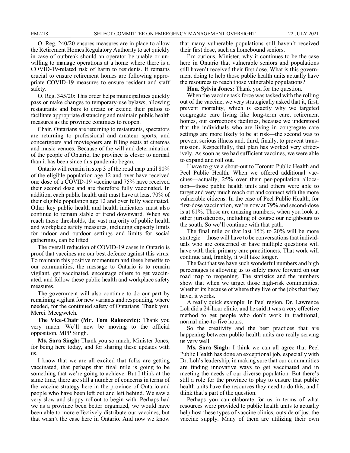O. Reg. 240/20 ensures measures are in place to allow the Retirement Homes Regulatory Authority to act quickly in case of outbreak should an operator be unable or unwilling to manage operations at a home where there is a COVID-19-related risk of harm to residents. It remains crucial to ensure retirement homes are following appropriate COVID-19 measures to ensure resident and staff safety.

O. Reg. 345/20: This order helps municipalities quickly pass or make changes to temporary-use bylaws, allowing restaurants and bars to create or extend their patios to facilitate appropriate distancing and maintain public health measures as the province continues to reopen.

Chair, Ontarians are returning to restaurants, spectators are returning to professional and amateur sports, and concertgoers and moviegoers are filling seats at cinemas and music venues. Because of the will and determination of the people of Ontario, the province is closer to normal than it has been since this pandemic began.

Ontario will remain in step 3 of the road map until 80% of the eligible population age 12 and over have received one dose of a COVID-19 vaccine and 75% have received their second dose and are therefore fully vaccinated. In addition, each public health unit must have at least 70% of their eligible population age 12 and over fully vaccinated. Other key public health and health indicators must also continue to remain stable or trend downward. When we reach those thresholds, the vast majority of public health and workplace safety measures, including capacity limits for indoor and outdoor settings and limits for social gatherings, can be lifted.

The overall reduction of COVID-19 cases in Ontario is proof that vaccines are our best defence against this virus. To maintain this positive momentum and these benefits to our communities, the message to Ontario is to remain vigilant, get vaccinated, encourage others to get vaccinated, and follow these public health and workplace safety measures.

The government will also continue to do our part by remaining vigilant for new variants and responding, where needed, for the continued safety of Ontarians. Thank you. Merci. Meegwetch.

**The Vice-Chair (Mr. Tom Rakocevic):** Thank you very much. We'll now be moving to the official opposition. MPP Singh.

**Ms. Sara Singh:** Thank you so much, Minister Jones, for being here today, and for sharing these updates with us.

I know that we are all excited that folks are getting vaccinated, that perhaps that final mile is going to be something that we're going to achieve. But I think at the same time, there are still a number of concerns in terms of the vaccine strategy here in the province of Ontario and people who have been left out and left behind. We saw a very slow and sloppy rollout to begin with. Perhaps had we as a province been better organized, we would have been able to more effectively distribute our vaccines, but that wasn't the case here in Ontario. And now we know

that many vulnerable populations still haven't received their first dose, such as homebound seniors.

I'm curious, Minister, why it continues to be the case here in Ontario that vulnerable seniors and populations still haven't received their first dose. What is this government doing to help those public health units actually have the resources to reach those vulnerable populations?

**Hon. Sylvia Jones:** Thank you for the question.

When the vaccine task force was tasked with the rolling out of the vaccine, we very strategically asked that it, first, prevent mortality, which is exactly why we targeted congregate care living like long-term care, retirement homes, our corrections facilities, because we understood that the individuals who are living in congregate care settings are more likely to be at risk—the second was to prevent serious illness and, third, finally, to prevent transmission. Respectfully, that plan has worked very effectively. As soon as we had sufficient vaccines, we were able to expand and roll out.

I have to give a shout-out to Toronto Public Health and Peel Public Health. When we offered additional vaccines—actually, 25% over their per-population allocation—those public health units and others were able to target and very much reach out and connect with the more vulnerable citizens. In the case of Peel Public Health, for first-dose vaccination, we're now at 79% and second-dose is at 61%. Those are amazing numbers, when you look at other jurisdictions, including of course our neighbours to the south. So we'll continue with that path.

The final mile or that last 15% to 20% will be more strategic—those will have to be conversations that individuals who are concerned or have multiple questions will have with their primary care practitioners. That work will continue and, frankly, it will take longer.

The fact that we have such wonderful numbers and high percentages is allowing us to safely move forward on our road map to reopening. The statistics and the numbers show that when we target those high-risk communities, whether its because of where they live or the jobs that they have, it works.

A really quick example: In Peel region, Dr. Lawrence Loh did a 24-hour clinic, and he said it was a very effective method to get people who don't work in traditional, normal nine-to-five hours.

So the creativity and the best practices that are happening between public health units are really serving us very well.

**Ms. Sara Singh:** I think we can all agree that Peel Public Health has done an exceptional job, especially with Dr. Loh's leadership, in making sure that our communities are finding innovative ways to get vaccinated and in meeting the needs of our diverse population. But there's still a role for the province to play to ensure that public health units have the resources they need to do this, and I think that's part of the question.

Perhaps you can elaborate for us in terms of what resources were provided to public health units to actually help host these types of vaccine clinics, outside of just the vaccine supply. Many of them are utilizing their own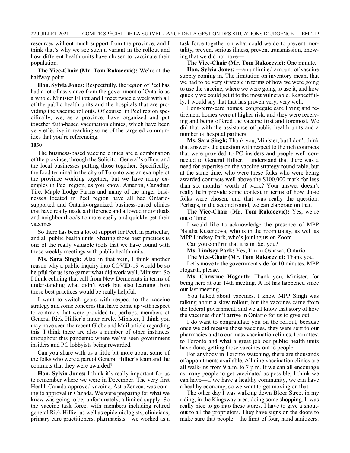resources without much support from the province, and I think that's why we see such a variant in the rollout and how different health units have chosen to vaccinate their population.

**The Vice-Chair (Mr. Tom Rakocevic):** We're at the halfway point.

**Hon. Sylvia Jones:** Respectfully, the region of Peel has had a lot of assistance from the government of Ontario as a whole. Minister Elliott and I meet twice a week with all of the public health units and the hospitals that are providing the vaccine rollouts. Of course, in Peel region specifically, we, as a province, have organized and put together faith-based vaccination clinics, which have been very effective in reaching some of the targeted communities that you're referencing.

#### **1030**

The business-based vaccine clinics are a combination of the province, through the Solicitor General's office, and the local businesses putting those together. Specifically, the food terminal in the city of Toronto was an example of the province working together, but we have many examples in Peel region, as you know. Amazon, Canadian Tire, Maple Lodge Farms and many of the larger businesses located in Peel region have all had Ontariosupported and Ontario-organized business-based clinics that have really made a difference and allowed individuals and neighbourhoods to more easily and quickly get their vaccines.

So there has been a lot of support for Peel, in particular, and all public health units. Sharing those best practices is one of the really valuable tools that we have found with those weekly meetings with public health units.

**Ms. Sara Singh:** Also in that vein, I think another reason why a public inquiry into COVID-19 would be so helpful for us is to garner what did work well, Minister. So I think echoing that call from New Democrats in terms of understanding what didn't work but also learning from those best practices would be really helpful.

I want to switch gears with respect to the vaccine strategy and some concerns that have come up with respect to contracts that were provided to, perhaps, members of General Rick Hillier's inner circle. Minister, I think you may have seen the recent Globe and Mail article regarding this. I think there are also a number of other instances throughout this pandemic where we've seen government insiders and PC lobbyists being rewarded.

Can you share with us a little bit more about some of the folks who were a part of General Hillier's team and the contracts that they were awarded?

**Hon. Sylvia Jones:** I think it's really important for us to remember where we were in December. The very first Health Canada-approved vaccine, AstraZeneca, was coming to approval in Canada. We were preparing for what we knew was going to be, unfortunately, a limited supply. So the vaccine task force, with members including retired general Rick Hillier as well as epidemiologists, clinicians, primary care practitioners, pharmacists—we worked as a

task force together on what could we do to prevent mortality, prevent serious illness, prevent transmission, knowing that we did not have—

**The Vice-Chair (Mr. Tom Rakocevic):** One minute.

**Hon. Sylvia Jones:** —an unlimited amount of vaccine supply coming in. The limitation on inventory meant that we had to be very strategic in terms of how we were going to use the vaccine, where we were going to use it, and how quickly we could get it to the most vulnerable. Respectfully, I would say that that has proven very, very well.

Long-term-care homes, congregate care living and retirement homes were at higher risk, and they were receiving and being offered the vaccine first and foremost. We did that with the assistance of public health units and a number of hospital partners.

**Ms. Sara Singh:** Thank you, Minister, but I don't think that answers the question with respect to the rich contracts that were provided to PC insiders and people well connected to General Hillier. I understand that there was a need for expertise on the vaccine strategy round table, but at the same time, who were these folks who were being awarded contracts well above the \$100,000 mark for less than six months' worth of work? Your answer doesn't really help provide some context in terms of how those folks were chosen, and that was really the question. Perhaps, in the second round, we can elaborate on that.

**The Vice-Chair (Mr. Tom Rakocevic):** Yes, we're out of time.

I would like to acknowledge the presence of MPP Natalia Kusendova, who is in the room today, as well as MPP Lindsey Park, who's joining us on Zoom.

Can you confirm that it is in fact you?

**Ms. Lindsey Park:** Yes, I'm in Oshawa, Ontario.

**The Vice-Chair (Mr. Tom Rakocevic):** Thank you.

Let's move to the government side for 10 minutes. MPP Hogarth, please.

**Ms. Christine Hogarth:** Thank you, Minister, for being here at our 14th meeting. A lot has happened since our last meeting.

You talked about vaccines. I know MPP Singh was talking about a slow rollout, but the vaccines came from the federal government, and we all know that story of how the vaccines didn't arrive in Ontario for us to give out.

I do want to congratulate you on the rollout, because once we did receive those vaccines, they were sent to our pharmacies and to our mass vaccination clinics. I can attest to Toronto and what a great job our public health units have done, getting those vaccines out to people.

For anybody in Toronto watching, there are thousands of appointments available. All nine vaccination clinics are all walk-ins from 9 a.m. to 7 p.m. If we can all encourage as many people to get vaccinated as possible, I think we can have—if we have a healthy community, we can have a healthy economy, so we want to get moving on that.

The other day I was walking down Bloor Street in my riding, in the Kingsway area, doing some shopping. It was really nice to go into these stores. I have to give a shoutout to all the proprietors. They have signs on the doors to make sure that people—the limit of four, hand sanitizers.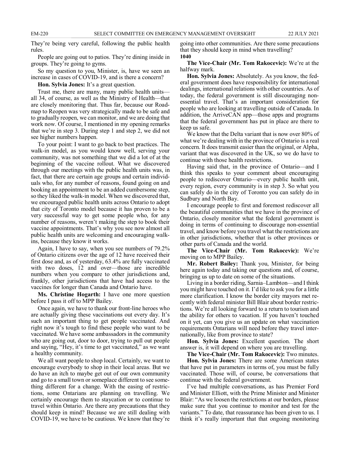They're being very careful, following the public health rules.

People are going out to patios. They're dining inside in groups. They're going to gyms.

So my question to you, Minister, is, have we seen an increase in cases of COVID-19, and is there a concern?

**Hon. Sylvia Jones:** It's a great question.

Trust me, there are many, many public health units all 34, of course, as well as the Ministry of Health—that are closely monitoring that. Thus far, because our Roadmap to Reopen was very strategically made to be safe and to gradually reopen, we can monitor, and we are doing that work now. Of course, I mentioned in my opening remarks that we're in step 3. During step 1 and step 2, we did not see higher numbers happen.

To your point: I want to go back to best practices. The walk-in model, as you would know well, serving your community, was not something that we did a lot of at the beginning of the vaccine rollout. What we discovered through our meetings with the public health units was, in fact, that there are certain age groups and certain individuals who, for any number of reasons, found going on and booking an appointment to be an added cumbersome step, so they liked the walk-in model. When we discovered that, we encouraged public health units across Ontario to adopt that city of Toronto model because it has proven to be a very successful way to get some people who, for any number of reasons, weren't making the step to book their vaccine appointments. That's why you see now almost all public health units are welcoming and encouraging walkins, because they know it works.

Again, I have to say, when you see numbers of 79.2% of Ontario citizens over the age of 12 have received their first dose and, as of yesterday, 63.4% are fully vaccinated with two doses, 12 and over—those are incredible numbers when you compare to other jurisdictions and, frankly, other jurisdictions that have had access to the vaccines for longer than Canada and Ontario have.

**Ms. Christine Hogarth:** I have one more question before I pass it off to MPP Bailey.

Once again, we have to thank our front-line heroes who are actually giving these vaccinations out every day. It's such an important thing to get people vaccinated. And right now it's tough to find these people who want to be vaccinated. We have some ambassadors in the community who are going out, door to door, trying to pull out people and saying, "Hey, it's time to get vaccinated," as we want a healthy community.

We all want people to shop local. Certainly, we want to encourage everybody to shop in their local areas. But we do have an itch to maybe get out of our own community and go to a small town or someplace different to see something different for a change. With the easing of restrictions, some Ontarians are planning on travelling. We certainly encourage them to staycation or to continue to travel within Ontario. Are there any precautions that they should keep in mind? Because we are still dealing with COVID-19, we have to be cautious. We know that they're

going into other communities. Are there some precautions that they should keep in mind when travelling? **1040**

**The Vice-Chair (Mr. Tom Rakocevic):** We're at the halfway mark.

**Hon. Sylvia Jones:** Absolutely. As you know, the federal government does have responsibility for international dealings, international relations with other countries. As of today, the federal government is still discouraging nonessential travel. That's an important consideration for people who are looking at travelling outside of Canada. In addition, the ArriveCAN app—those apps and programs that the federal government has put in place are there to keep us safe.

We know that the Delta variant that is now over 80% of what we're dealing with in the province of Ontario is a real concern. It does transmit easier than the original, or Alpha, variant that was discovered in the UK, so we do have to continue with those health restrictions.

Having said that, in the province of Ontario—and I think this speaks to your comment about encouraging people to rediscover Ontario—every public health unit, every region, every community is in step 3. So what you can safely do in the city of Toronto you can safely do in Sudbury and North Bay.

I encourage people to first and foremost rediscover all the beautiful communities that we have in the province of Ontario, closely monitor what the federal government is doing in terms of continuing to discourage non-essential travel, and know before you travel what the restrictions are in other jurisdictions, whether that is other provinces or other parts of Canada and the world.

**The Vice-Chair (Mr. Tom Rakocevic):** We're moving on to MPP Bailey.

**Mr. Robert Bailey:** Thank you, Minister, for being here again today and taking our questions and, of course, bringing us up to date on some of the situations.

Living in a border riding, Sarnia–Lambton—and I think you might have touched on it. I'd like to ask you for a little more clarification. I know the border city mayors met recently with federal minister Bill Blair about border restrictions. We're all looking forward to a return to tourism and the ability for others to vacation. If you haven't touched on it yet, can you give us an update on what vaccination requirements Ontarians will need before they travel internationally, like from province to state?

**Hon. Sylvia Jones:** Excellent question. The short answer is, it will depend on where you are travelling.

**The Vice-Chair (Mr. Tom Rakocevic):** Two minutes.

**Hon. Sylvia Jones:** There are some American states that have put in parameters in terms of, you must be fully vaccinated. Those will, of course, be conversations that continue with the federal government.

I've had multiple conversations, as has Premier Ford and Minister Elliott, with the Prime Minister and Minister Blair: "As we loosen the restrictions at our borders, please make sure that you continue to monitor and test for the variants." To date, that reassurance has been given to us. I think it's really important that that ongoing monitoring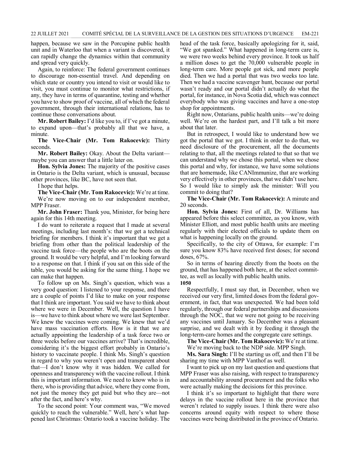happen, because we saw in the Porcupine public health unit and in Waterloo that when a variant is discovered, it can rapidly change the dynamics within that community and spread very quickly.

Again, to reinforce: The federal government continues to discourage non-essential travel. And depending on which state or country you intend to visit or would like to visit, you must continue to monitor what restrictions, if any, they have in terms of quarantine, testing and whether you have to show proof of vaccine, all of which the federal government, through their international relations, has to continue those conversations about.

**Mr. Robert Bailey:** I'd like you to, if I've got a minute, to expand upon—that's probably all that we have, a minute.

**The Vice-Chair (Mr. Tom Rakocevic):** Thirty seconds.

**Mr. Robert Bailey:** Okay. About the Delta variant maybe you can answer that a little later on.

**Hon. Sylvia Jones:** The majority of the positive cases in Ontario is the Delta variant, which is unusual, because other provinces, like BC, have not seen that.

I hope that helps.

**The Vice-Chair (Mr. Tom Rakocevic):** We're at time. We're now moving on to our independent member, MPP Fraser.

**Mr. John Fraser:** Thank you, Minister, for being here again for this 14th meeting.

I do want to reiterate a request that I made at several meetings, including last month's: that we get a technical briefing for members. I think it's important that we get a briefing from other than the political leadership of the vaccine task force—the people who are the boots on the ground. It would be very helpful, and I'm looking forward to a response on that. I think if you sat on this side of the table, you would be asking for the same thing. I hope we can make that happen.

To follow up on Ms. Singh's question, which was a very good question: I listened to your response, and there are a couple of points I'd like to make on your response that I think are important. You said we have to think about where we were in December. Well, the question I have is—we have to think about where we were last September. We knew the vaccines were coming. We knew that we'd have mass vaccination efforts. How is it that we are actually appointing the leadership of a task force two or three weeks before our vaccines arrive? That's incredible, considering it's the biggest effort probably in Ontario's history to vaccinate people. I think Ms. Singh's question in regard to why you weren't open and transparent about that—I don't know why it was hidden. We called for openness and transparency with the vaccine rollout. I think this is important information. We need to know who is in there, who is providing that advice, where they come from, not just the money they get paid but who they are—not after the fact, and here's why.

To the second point: Your comment was, "We moved quickly to reach the vulnerable." Well, here's what happened last Christmas: Ontario took a vaccine holiday. The head of the task force, basically apologizing for it, said, "We got spanked." What happened in long-term care is, we were two weeks behind every province. It took us half a million doses to get the 70,000 vulnerable people in long-term care. More people got sick, and more people died. Then we had a portal that was two weeks too late. Then we had a vaccine scavenger hunt, because our portal wasn't ready and our portal didn't actually do what the portal, for instance, in Nova Scotia did, which was connect everybody who was giving vaccines and have a one-stop shop for appointments.

Right now, Ontarians, public health units—we're doing well. We're on the hardest part, and I'll talk a bit more about that later.

But in retrospect, I would like to understand how we got the portal that we got. I think in order to do that, we need disclosure of the procurement, all the documents relating to that, all the meetings related to that so that we can understand why we chose this portal, when we chose this portal and why, for instance, we have some solutions that are homemade, like CANImmunize, that are working very effectively in other provinces, that we didn't use here. So I would like to simply ask the minister: Will you commit to doing that?

**The Vice-Chair (Mr. Tom Rakocevic):** A minute and 20 seconds.

**Hon. Sylvia Jones:** First of all, Dr. Williams has appeared before this select committee, as you know, with Minister Elliott, and most public health units are meeting regularly with their elected officials to update them on what is happening locally on the ground.

Specifically, to the city of Ottawa, for example: I'm sure you know 83% have received first doses; for second doses, 67%.

So in terms of hearing directly from the boots on the ground, that has happened both here, at the select committee, as well as locally with public health units.

**1050**

Respectfully, I must say that, in December, when we received our very first, limited doses from the federal government, in fact, that was unexpected. We had been told regularly, through our federal partnerships and discussions through the NOC, that we were not going to be receiving any vaccines until January. So December was a pleasant surprise, and we dealt with it by feeding it through the long-term-care homes and the congregate care settings.

**The Vice-Chair (Mr. Tom Rakocevic):** We're at time.

We're moving back to the NDP side. MPP Singh.

**Ms. Sara Singh:** I'll be starting us off, and then I'll be sharing my time with MPP Vanthof as well.

I want to pick up on my last question and questions that MPP Fraser was also raising, with respect to transparency and accountability around procurement and the folks who were actually making the decisions for this province.

I think it's so important to highlight that there were delays in the vaccine rollout here in the province that weren't related to supply issues. I think there were also concerns around equity with respect to where those vaccines were being distributed in the province of Ontario.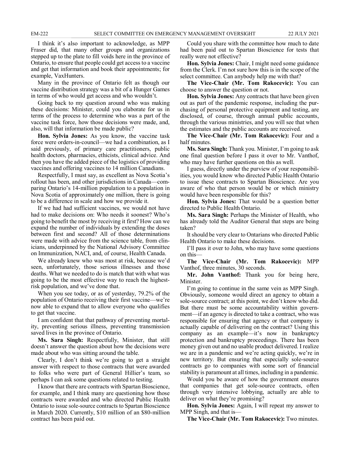I think it's also important to acknowledge, as MPP Fraser did, that many other groups and organizations stepped up to the plate to fill voids here in the province of Ontario, to ensure that people could get access to a vaccine and get that information and book their appointments; for example, VaxHunters.

Many in the province of Ontario felt as though our vaccine distribution strategy was a bit of a Hunger Games in terms of who would get access and who wouldn't.

Going back to my question around who was making these decisions: Minister, could you elaborate for us in terms of the process to determine who was a part of the vaccine task force, how those decisions were made, and, also, will that information be made public?

**Hon. Sylvia Jones:** As you know, the vaccine task force were orders-in-council—we had a combination, as I said previously, of primary care practitioners, public health doctors, pharmacies, ethicists, clinical advice. And then you have the added piece of the logistics of providing vaccines and offering vaccines to 14 million Canadians.

Respectfully, I must say, as excellent as Nova Scotia's rollout has been, and other jurisdictions in Canada—comparing Ontario's 14-million population to a population in Nova Scotia of approximately one million, there is going to be a difference in scale and how we provide it.

If we had had sufficient vaccines, we would not have had to make decisions on: Who needs it soonest? Who's going to benefit the most by receiving it first? How can we expand the number of individuals by extending the doses between first and second? All of those determinations were made with advice from the science table, from clinicians, underpinned by the National Advisory Committee on Immunization, NACI, and, of course, Health Canada.

We already knew who was most at risk, because we'd seen, unfortunately, those serious illnesses and those deaths. What we needed to do is match that with what was going to be the most effective way to reach the highestrisk population, and we've done that.

When you see today, or as of yesterday, 79.2% of the population of Ontario receiving their first vaccine—we're now able to expand that to allow everyone who qualifies to get that vaccine.

I am confident that that pathway of preventing mortality, preventing serious illness, preventing transmission saved lives in the province of Ontario.

**Ms. Sara Singh:** Respectfully, Minister, that still doesn't answer the question about how the decisions were made about who was sitting around the table.

Clearly, I don't think we're going to get a straight answer with respect to those contracts that were awarded to folks who were part of General Hillier's team, so perhaps I can ask some questions related to testing.

I know that there are contracts with Spartan Bioscience, for example, and I think many are questioning how those contracts were awarded and who directed Public Health Ontario to issue sole-source contracts to Spartan Bioscience in March 2020. Currently, \$10 million of an \$80-million contract has been paid out.

Could you share with the committee how much to date had been paid out to Spartan Bioscience for tests that really were not effective?

**Hon. Sylvia Jones:** Chair, I might need some guidance from the Clerk. I'm not sure how this is in the scope of the select committee. Can anybody help me with that?

**The Vice-Chair (Mr. Tom Rakocevic):** You can choose to answer the question or not.

**Hon. Sylvia Jones:** Any contracts that have been given out as part of the pandemic response, including the purchasing of personal protective equipment and testing, are disclosed, of course, through annual public accounts, through the various ministries, and you will see that when the estimates and the public accounts are received.

**The Vice-Chair (Mr. Tom Rakocevic):** Four and a half minutes.

**Ms. Sara Singh:** Thank you. Minister, I'm going to ask one final question before I pass it over to Mr. Vanthof, who may have further questions on this as well.

I guess, directly under the purview of your responsibilities, you would know who directed Public Health Ontario to issue these contracts to Spartan Bioscience. Are you aware of who that person would be or which ministry would have been responsible for this?

**Hon. Sylvia Jones:** That would be a question better directed to Public Health Ontario.

**Ms. Sara Singh:** Perhaps the Minister of Health, who has already told the Auditor General that steps are being taken?

It should be very clear to Ontarians who directed Public Health Ontario to make these decisions.

I'll pass it over to John, who may have some questions on this—

**The Vice-Chair (Mr. Tom Rakocevic):** MPP Vanthof, three minutes, 30 seconds.

**Mr. John Vanthof:** Thank you for being here, Minister.

I'm going to continue in the same vein as MPP Singh. Obviously, someone would direct an agency to obtain a sole-source contract; at this point, we don't know who did. But there must be some accountability within government—if an agency is directed to take a contract, who was responsible for ensuring that agency or that company is actually capable of delivering on the contract? Using this company as an example—it's now in bankruptcy protection and bankruptcy proceedings. There has been money given out and no usable product delivered. I realize we are in a pandemic and we're acting quickly, we're in new territory. But ensuring that especially sole-source contracts go to companies with some sort of financial stability is paramount at all times, including in a pandemic.

Would you be aware of how the government ensures that companies that get sole-source contracts, often through very intensive lobbying, actually are able to deliver on what they're promising?

**Hon. Sylvia Jones:** Again, I will repeat my answer to MPP Singh, and that is—

**The Vice-Chair (Mr. Tom Rakocevic):** Two minutes.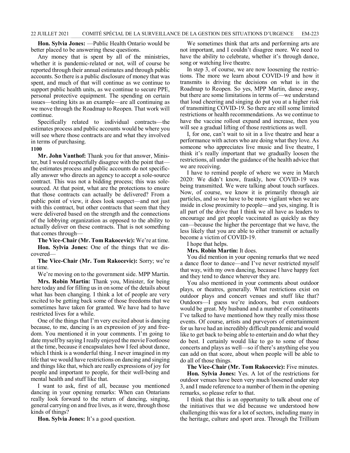**Hon. Sylvia Jones:** —Public Health Ontario would be better placed to be answering these questions.

Any money that is spent by all of the ministries, whether it is pandemic-related or not, will of course be reported through their annual estimates and through public accounts. So there is a public disclosure of money that was spent, and much of that will continue as we continue to support public health units, as we continue to secure PPE, personal protective equipment. The spending on certain issues—testing kits as an example—are all continuing as we move through the Roadmap to Reopen. That work will continue.

Specifically related to individual contracts—the estimates process and public accounts would be where you will see where those contracts are and what they involved in terms of purchasing.

#### **1100**

**Mr. John Vanthof:** Thank you for that answer, Minister, but I would respectfully disagree with the point that the estimates process and public accounts do not specifically answer who directs an agency to accept a sole-source contract. This was not a bidding process; this was solesourced. At that point, what are the protections to ensure that those contracts can actually be delivered? From a public point of view, it does look suspect—and not just with this contract, but other contracts that seem that they were delivered based on the strength and the connections of the lobbying organization as opposed to the ability to actually deliver on these contracts. That is not something that comes through—

**The Vice-Chair (Mr. Tom Rakocevic):** We're at time. **Hon. Sylvia Jones:** One of the things that we discovered—

**The Vice-Chair (Mr. Tom Rakocevic):** Sorry; we're at time.

We're moving on to the government side. MPP Martin.

**Mrs. Robin Martin:** Thank you, Minister, for being here today and for filling us in on some of the details about what has been changing. I think a lot of people are very excited to be getting back some of those freedoms that we sometimes have taken for granted. We have had to have restricted lives for a while.

One of the things that I'm very excited about is dancing because, to me, dancing is an expression of joy and freedom. You mentioned it in your comments. I'm going to date myself by saying I really enjoyed the movie Footloose at the time, because it encapsulates how I feel about dance, which I think is a wonderful thing. I never imagined in my life that we would have restrictions on dancing and singing and things like that, which are really expressions of joy for people and important to people, for their well-being and mental health and stuff like that.

I want to ask, first of all, because you mentioned dancing in your opening remarks: When can Ontarians really look forward to the return of dancing, singing, general carrying on and free lives, as it were, through those kinds of things?

**Hon. Sylvia Jones:** It's a good question.

We sometimes think that arts and performing arts are not important, and I couldn't disagree more. We need to have the ability to celebrate, whether it's through dance, song or watching live theatre.

In step 3, of course, we are now loosening the restrictions. The more we learn about COVID-19 and how it transmits is driving the decisions on what is in the Roadmap to Reopen. So yes, MPP Martin, dance away, but there are some limitations in terms of—we understand that loud cheering and singing do put you at a higher risk of transmitting COVID-19. So there are still some limited restrictions or health recommendations. As we continue to have the vaccine rollout expand and increase, then you will see a gradual lifting of those restrictions as well.

I, for one, can't wait to sit in a live theatre and hear a performance with actors who are doing what they love. As someone who appreciates live music and live theatre, I think it's really important that we gradually loosen the restrictions, all under the guidance of the health advice that we are receiving.

I have to remind people of where we were in March 2020: We didn't know, frankly, how COVID-19 was being transmitted. We were talking about touch surfaces. Now, of course, we know it is primarily through air particles, and so we have to be more vigilant when we are inside in close proximity to people—and yes, singing. It is all part of the drive that I think we all have as leaders to encourage and get people vaccinated as quickly as they can—because the higher the percentage that we have, the less likely that you are able to either transmit or actually become a victim of COVID-19.

I hope that helps.

**Mrs. Robin Martin:** It does.

You did mention in your opening remarks that we need a dance floor to dance—and I've never restricted myself that way, with my own dancing, because I have happy feet and they tend to dance wherever they are.

You also mentioned in your comments about outdoor plays, or theatres, generally. What restrictions exist on outdoor plays and concert venues and stuff like that? Outdoors—I guess we're indoors, but even outdoors would be great. My husband and a number of constituents I've talked to have mentioned how they really miss those events. Of course, artists and purveyors of entertainment for us have had an incredibly difficult pandemic and would like to get back to being able to entertain and do what they do best. I certainly would like to go to some of those concerts and plays as well—so if there's anything else you can add on that score, about when people will be able to do all of those things.

**The Vice-Chair (Mr. Tom Rakocevic):** Five minutes. **Hon. Sylvia Jones:** Yes. A lot of the restrictions for outdoor venues have been very much loosened under step 3, and I made reference to a number of them in the opening remarks, so please refer to that.

I think that this is an opportunity to talk about one of the initiatives that we did because we understood how challenging this was for a lot of sectors, including many in the heritage, culture and sport area. Through the Trillium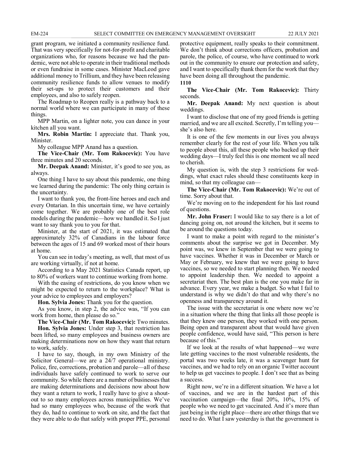grant program, we initiated a community resilience fund. That was very specifically for not-for-profit and charitable organizations who, for reasons because we had the pandemic, were not able to operate in their traditional methods or even fundraise in some cases. Minister MacLeod gave additional money to Trillium, and they have been releasing community resilience funds to allow venues to modify their set-ups to protect their customers and their employees, and also to safely reopen.

The Roadmap to Reopen really is a pathway back to a normal world where we can participate in many of these things.

MPP Martin, on a lighter note, you can dance in your kitchen all you want.

**Mrs. Robin Martin:** I appreciate that. Thank you, Minister.

My colleague MPP Anand has a question.

**The Vice-Chair (Mr. Tom Rakocevic):** You have three minutes and 20 seconds.

**Mr. Deepak Anand:** Minister, it's good to see you, as always.

One thing I have to say about this pandemic, one thing we learned during the pandemic: The only thing certain is the uncertainty.

I want to thank you, the front-line heroes and each and every Ontarian. In this uncertain time, we have certainly come together. We are probably one of the best role models during the pandemic—how we handled it. So I just want to say thank you to you for that.

Minister, at the start of 2021, it was estimated that approximately 32% of Canadians in the labour force between the ages of 15 and 69 worked most of their hours at home.

You can see in today's meeting, as well, that most of us are working virtually, if not at home.

According to a May 2021 Statistics Canada report, up to 80% of workers want to continue working from home.

With the easing of restrictions, do you know when we might be expected to return to the workplace? What is your advice to employees and employers?

**Hon. Sylvia Jones:** Thank you for the question.

As you know, in step 2, the advice was, "If you can work from home, then please do so."

**The Vice-Chair (Mr. Tom Rakocevic):** Two minutes.

**Hon. Sylvia Jones:** Under step 3, that restriction has been lifted, so many employees and business owners are making determinations now on how they want that return to work, safely.

I have to say, though, in my own Ministry of the Solicitor General—we are a 24/7 operational ministry. Police, fire, corrections, probation and parole—all of these individuals have safely continued to work to serve our community. So while there are a number of businesses that are making determinations and decisions now about how they want a return to work, I really have to give a shoutout to so many employees across municipalities. We've had so many employees who, because of the work that they do, had to continue to work on site, and the fact that they were able to do that safely with proper PPE, personal

protective equipment, really speaks to their commitment. We don't think about corrections officers, probation and parole, the police, of course, who have continued to work out in the community to ensure our protection and safety, and I want to specifically thank them for the work that they have been doing all throughout the pandemic.

#### **1110**

**The Vice-Chair (Mr. Tom Rakocevic):** Thirty seconds.

**Mr. Deepak Anand:** My next question is about weddings.

I want to disclose that one of my good friends is getting married, and we are all excited. Secretly, I'm telling you she's also here.

It is one of the few moments in our lives you always remember clearly for the rest of your life. When you talk to people about this, all these people who backed up their wedding days—I truly feel this is one moment we all need to cherish.

My question is, with the step 3 restrictions for weddings, what exact rules should these constituents keep in mind, so that my colleague can—

**The Vice-Chair (Mr. Tom Rakocevic):** We're out of time. Sorry about that.

We're moving on to the independent for his last round of questions.

**Mr. John Fraser:** I would like to say there is a lot of dancing going on, not around the kitchen, but it seems to be around the questions today.

I want to make a point with regard to the minister's comments about the surprise we got in December. My point was, we knew in September that we were going to have vaccines. Whether it was in December or March or May or February, we knew that we were going to have vaccines, so we needed to start planning then. We needed to appoint leadership then. We needed to appoint a secretariat then. The best plan is the one you make far in advance. Every year, we make a budget. So what I fail to understand is why we didn't do that and why there's no openness and transparency around it.

The issue with the secretariat is one where now we're in a situation where the thing that links all those people is that they knew one person, they worked with one person. Being open and transparent about that would have given people confidence, would have said, "This person is here because of this."

If we look at the results of what happened—we were late getting vaccines to the most vulnerable residents, the portal was two weeks late, it was a scavenger hunt for vaccines, and we had to rely on an organic Twitter account to help us get vaccines to people. I don't see that as being a success.

Right now, we're in a different situation. We have a lot of vaccines, and we are in the hardest part of this vaccination campaign—the final 20%, 10%, 15% of people who we need to get vaccinated. And it's more than just being in the right place—there are other things that we need to do. What I saw yesterday is that the government is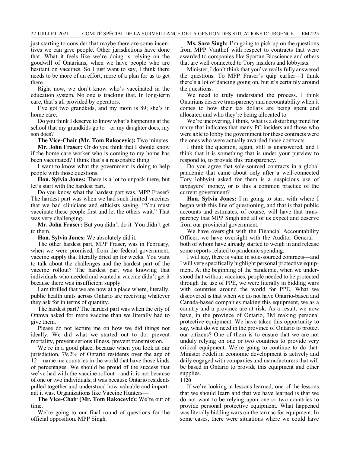just starting to consider that maybe there are some incentives we can give people. Other jurisdictions have done that. What it feels like we're doing is relying on the goodwill of Ontarians, when we have people who are hesitant on vaccines. So I just want to say, I think there needs to be more of an effort, more of a plan for us to get there.

Right now, we don't know who's vaccinated in the education system. No one is tracking that. In long-term care, that's all provided by operators.

I've got two grandkids, and my mom is 89; she's in home care.

Do you think I deserve to know what's happening at the school that my grandkids go to—or my daughter does, my son does?

**The Vice-Chair (Mr. Tom Rakocevic):** Two minutes. **Mr. John Fraser:** Or do you think that I should know if the home care worker who is coming to my home has been vaccinated? I think that's a reasonable thing.

I want to know what the government is doing to help people with those questions.

**Hon. Sylvia Jones:** There is a lot to unpack there, but let's start with the hardest part.

Do you know what the hardest part was, MPP Fraser? The hardest part was when we had such limited vaccines that we had clinicians and ethicists saying, "You must vaccinate these people first and let the others wait." That was very challenging.

**Mr. John Fraser:** But you didn't do it. You didn't get to them.

**Hon. Sylvia Jones:** We absolutely did it.

The other hardest part, MPP Fraser, was in February, when we were promised, from the federal government, vaccine supply that literally dried up for weeks. You want to talk about the challenges and the hardest part of the vaccine rollout? The hardest part was knowing that individuals who needed and wanted a vaccine didn't get it because there was insufficient supply.

I am thrilled that we are now at a place where, literally, public health units across Ontario are receiving whatever they ask for in terms of quantity.

The hardest part? The hardest part was when the city of Ottawa asked for more vaccine than we literally had to give them.

Please do not lecture me on how we did things not ideally. We did what we started out to do: prevent mortality, prevent serious illness, prevent transmission.

We're in a good place, because when you look at our jurisdiction, 79.2% of Ontario residents over the age of 12—name me countries in the world that have those kinds of percentages. We should be proud of the success that we've had with the vaccine rollout—and it is not because of one or two individuals; it was because Ontario residents pulled together and understood how valuable and important it was. Organizations like Vaccine Hunters—

**The Vice-Chair (Mr. Tom Rakocevic):** We're out of time.

We're going to our final round of questions for the official opposition. MPP Singh.

**Ms. Sara Singh:** I'm going to pick up on the questions from MPP Vanthof with respect to contracts that were awarded to companies like Spartan Bioscience and others that are well connected to Tory insiders and lobbyists.

Minister, I don't think that you've really fully answered the questions. To MPP Fraser's quip earlier—I think there's a lot of dancing going on, but it's certainly around the questions.

We need to truly understand the process. I think Ontarians deserve transparency and accountability when it comes to how their tax dollars are being spent and allocated and who they're being allocated to.

We're uncovering, I think, what is a disturbing trend for many that indicates that many PC insiders and those who were able to lobby the government for these contracts were the ones who were actually awarded those contracts.

I think the question, again, still is unanswered, and I think that it is something that is under your purview to respond to, to provide this transparency.

Do you agree that sole-sourced contracts in a global pandemic that came about only after a well-connected Tory lobbyist asked for them is a suspicious use of taxpayers' money, or is this a common practice of the current government?

**Hon. Sylvia Jones:** I'm going to start with where I began with this line of questioning, and that is that public accounts and estimates, of course, will have that transparency that MPP Singh and all of us expect and deserve from our provincial government.

We have oversight with the Financial Accountability Officer; we have oversight with the Auditor General both of whom have already started to weigh in and release some reports related to pandemic spending.

I will say, there is value in sole-sourced contracts—and I will very specifically highlight personal protective equipment. At the beginning of the pandemic, when we understood that without vaccines, people needed to be protected through the use of PPE, we were literally in bidding wars with countries around the world for PPE. What we discovered is that when we do not have Ontario-based and Canada-based companies making this equipment, we as a country and a province are at risk. As a result, we now have, in the province of Ontario, 3M making personal protective equipment. We have taken this opportunity to say, what do we need in the province of Ontario to protect our citizens? One of them is to ensure that we are not unduly relying on one or two countries to provide very critical equipment. We're going to continue to do that. Minister Fedeli in economic development is actively and daily engaged with companies and manufacturers that will be based in Ontario to provide this equipment and other supplies.

#### **1120**

If we're looking at lessons learned, one of the lessons that we should learn and that we have learned is that we do not want to be relying upon one or two countries to provide personal protective equipment. What happened was literally bidding wars on the tarmac for equipment. In some cases, there were situations where we could have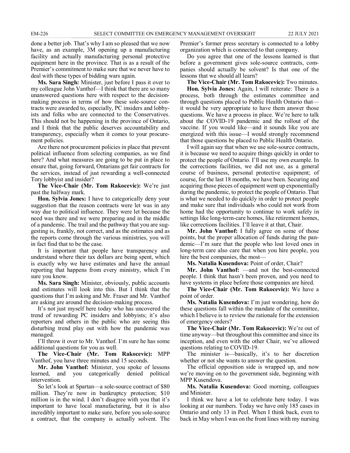done a better job. That's why I am so pleased that we now have, as an example, 3M opening up a manufacturing facility and actually manufacturing personal protective equipment here in the province. That is as a result of the Premier's commitment to make sure that we never have to deal with these types of bidding wars again.

**Ms. Sara Singh:** Minister, just before I pass it over to my colleague John Vanthof—I think that there are so many unanswered questions here with respect to the decisionmaking process in terms of how these sole-source contracts were awarded to, especially, PC insiders and lobbyists and folks who are connected to the Conservatives. This should not be happening in the province of Ontario, and I think that the public deserves accountability and transparency, especially when it comes to your procurement policies.

Are there not procurement policies in place that prevent political influence from selecting companies, as we find here? And what measures are going to be put in place to ensure that, going forward, Ontarians get fair contracts for the services, instead of just rewarding a well-connected Tory lobbyist and insider?

**The Vice-Chair (Mr. Tom Rakocevic):** We're just past the halfway mark.

**Hon. Sylvia Jones:** I have to categorically deny your suggestion that the reason contracts were let was in any way due to political influence. They were let because the need was there and we were preparing and in the middle of a pandemic. The trail and the pathway that you are suggesting is, frankly, not correct, and as the estimates and as the reports come through the various ministries, you will in fact find that to be the case.

It is important that people have transparency and understand where their tax dollars are being spent, which is exactly why we have estimates and have the annual reporting that happens from every ministry, which I'm sure you know.

**Ms. Sara Singh:** Minister, obviously, public accounts and estimates will look into this. But I think that the questions that I'm asking and Mr. Fraser and Mr. Vanthof are asking are around the decision-making process.

It's not just myself here today who has uncovered the trend of rewarding PC insiders and lobbyists; it's also reporters and others in the public who are seeing this disturbing trend play out with how the pandemic was managed.

I'll throw it over to Mr. Vanthof. I'm sure he has some additional questions for you as well.

**The Vice-Chair (Mr. Tom Rakocevic):** MPP Vanthof, you have three minutes and 15 seconds.

**Mr. John Vanthof:** Minister, you spoke of lessons learned, and you categorically denied political intervention.

So let's look at Spartan—a sole-source contract of \$80 million. They're now in bankruptcy protection; \$10 million is in the wind. I don't disagree with you that it's important to have local manufacturing, but it is also incredibly important to make sure, before you sole-source a contract, that the company is actually solvent. The Premier's former press secretary is connected to a lobby organization which is connected to that company.

Do you agree that one of the lessons learned is that before a government gives sole-source contracts, companies should actually be solvent? Is that one of the lessons that we should all learn?

**The Vice-Chair (Mr. Tom Rakocevic):** Two minutes.

**Hon. Sylvia Jones:** Again, I will reiterate: There is a process, both through the estimates committee and through questions placed to Public Health Ontario that it would be very appropriate to have them answer those questions. We have a process in place. We're here to talk about the COVID-19 pandemic and the rollout of the vaccine. If you would like—and it sounds like you are energized with this issue—I would strongly recommend that those questions be placed to Public Health Ontario.

I will again say that when we use sole-source contracts, it is because we need to acquire things quickly in order to protect the people of Ontario. I'll use my own example. In the corrections facilities, we did not use, as a general course of business, personal protective equipment; of course, for the last 18 months, we have been. Securing and acquiring those pieces of equipment went up exponentially during the pandemic, to protect the people of Ontario. That is what we needed to do quickly in order to protect people and make sure that individuals who could not work from home had the opportunity to continue to work safely in settings like long-term-care homes, like retirement homes, like corrections facilities. I'll leave it at that, Chair.

**Mr. John Vanthof:** I fully agree on some of those points, but the proper allocation of funds during the pandemic—I'm sure that the people who lost loved ones in long-term care also care that when you hire people, you hire the best companies, the most—

**Ms. Natalia Kusendova:** Point of order, Chair?

**Mr. John Vanthof:** —and not the best-connected people. I think that hasn't been proven, and you need to have systems in place before those companies are hired.

**The Vice-Chair (Mr. Tom Rakocevic):** We have a point of order.

**Ms. Natalia Kusendova:** I'm just wondering, how do these questions fall within the mandate of the committee, which I believe is to review the rationale for the extension of emergency orders?

**The Vice-Chair (Mr. Tom Rakocevic):** We're out of time anyway—but throughout this committee and since its inception, and even with the other Chair, we've allowed questions relating to COVID-19.

The minister is—basically, it's to her discretion whether or not she wants to answer the question.

The official opposition side is wrapped up, and now we're moving on to the government side, beginning with MPP Kusendova.

**Ms. Natalia Kusendova:** Good morning, colleagues and Minister.

I think we have a lot to celebrate here today. I was looking at our numbers. Today we have only 185 cases in Ontario and only 13 in Peel. When I think back, even to back in May when I was on the front lines with my nursing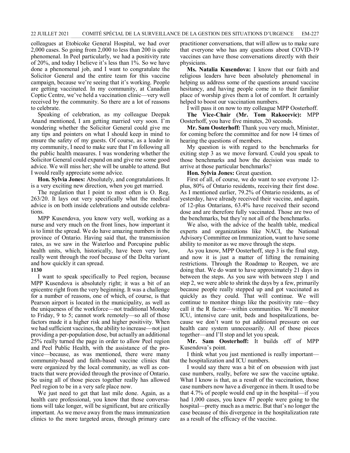colleagues at Etobicoke General Hospital, we had over 2,000 cases. So going from 2,000 to less than 200 is quite phenomenal. In Peel particularly, we had a positivity rate of 20%, and today I believe it's less than 1%. So we have done a phenomenal job, and I want to congratulate the Solicitor General and the entire team for this vaccine campaign, because we're seeing that it's working. People are getting vaccinated. In my community, at Canadian Coptic Centre, we've held a vaccination clinic—very well received by the community. So there are a lot of reasons to celebrate.

Speaking of celebration, as my colleague Deepak Anand mentioned, I am getting married very soon. I'm wondering whether the Solicitor General could give me any tips and pointers on what I should keep in mind to ensure the safety of my guests. Of course, as a leader in my community, I need to make sure that I'm following all the public health measures. I was wondering whether the Solicitor General could expand on and give me some good advice. We will miss her; she will be unable to attend. But I would really appreciate some advice.

**Hon. Sylvia Jones:** Absolutely, and congratulations. It is a very exciting new direction, when you get married.

The regulation that I point to most often is O. Reg. 263/20. It lays out very specifically what the medical advice is on both inside celebrations and outside celebrations.

MPP Kusendova, you know very well, working as a nurse and very much on the front lines, how important it is to limit the spread. We do have amazing numbers in the province of Ontario. Having said that, the transmission rates, as we saw in the Waterloo and Porcupine public health units, which, historically, have been very low, really went through the roof because of the Delta variant and how quickly it can spread.

### **1130**

I want to speak specifically to Peel region, because MPP Kusendova is absolutely right; it was a bit of an epicentre right from the very beginning. It was a challenge for a number of reasons, one of which, of course, is that Pearson airport is located in the municipality, as well as the uniqueness of the workforce—not traditional Monday to Friday, 9 to 5; cannot work remotely—so all of those factors made it a higher risk and higher positivity. When we had sufficient vaccines, the ability to increase—not just providing a per-population dose, but actually an additional 25% really turned the page in order to allow Peel region and Peel Public Health, with the assistance of the province—because, as was mentioned, there were many community-based and faith-based vaccine clinics that were organized by the local community, as well as contracts that were provided through the province of Ontario. So using all of those pieces together really has allowed Peel region to be in a very safe place now.

We just need to get that last mile done. Again, as a health care professional, you know that those conversations will take longer, will be significant, but are critically important. As we move away from the mass immunization clinics to the more targeted areas, through primary care practitioner conversations, that will allow us to make sure that everyone who has any questions about COVID-19 vaccines can have those conversations directly with their physicians.

**Ms. Natalia Kusendova:** I know that our faith and religious leaders have been absolutely phenomenal in helping us address some of the questions around vaccine hesitancy, and having people come in to their familiar place of worship gives them a lot of comfort. It certainly helped to boost our vaccination numbers.

I will pass it on now to my colleague MPP Oosterhoff. **The Vice-Chair (Mr. Tom Rakocevic):** MPP Oosterhoff, you have five minutes, 20 seconds.

**Mr. Sam Oosterhoff:** Thank you very much, Minister, for coming before the committee and for now 14 times of hearing the questions of members.

My question is with regard to the benchmarks for exiting step 3 as we move forward. Could you speak to those benchmarks and how the decision was made to arrive at those particular benchmarks?

**Hon. Sylvia Jones:** Great question.

First of all, of course, we do want to see everyone 12 plus, 80% of Ontario residents, receiving their first dose. As I mentioned earlier, 79.2% of Ontario residents, as of yesterday, have already received their vaccine, and again, of 12-plus Ontarians, 63.4% have received their second dose and are therefore fully vaccinated. Those are two of the benchmarks, but they're not all of the benchmarks.

We also, with the advice of the health table, medical experts and organizations like NACI, the National Advisory Committee on Immunization, want to have some ability to monitor as we move through the steps.

As you know, MPP Oosterhoff, step 3 is the final step, and now it is just a matter of lifting the remaining restrictions. Through the Roadmap to Reopen, we are doing that. We do want to have approximately 21 days in between the steps. As you saw with between step 1 and step 2, we were able to shrink the days by a few, primarily because people really stepped up and got vaccinated as quickly as they could. That will continue. We will continue to monitor things like the positivity rate—they call it the R factor—within communities. We'll monitor ICU, intensive care unit, beds and hospitalizations, because we don't want to put additional pressure on our health care system unnecessarily. All of those pieces together—and I'll stop and let you speak.

**Mr. Sam Oosterhoff:** It builds off of MPP Kusendova's point.

I think what you just mentioned is really important the hospitalization and ICU numbers.

I would say there was a bit of on obsession with just case numbers, really, before we saw the vaccine uptake. What I know is that, as a result of the vaccination, those case numbers now have a divergence in them. It used to be that 4.7% of people would end up in the hospital—if you had 1,000 cases, you knew 47 people were going to the hospital—pretty much as a metric. But that's no longer the case because of this divergence in the hospitalization rate as a result of the efficacy of the vaccine.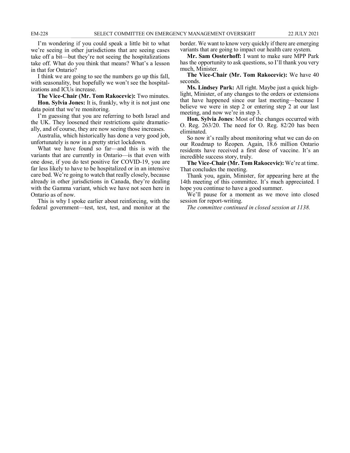I'm wondering if you could speak a little bit to what we're seeing in other jurisdictions that are seeing cases take off a bit—but they're not seeing the hospitalizations take off. What do you think that means? What's a lesson in that for Ontario?

I think we are going to see the numbers go up this fall, with seasonality, but hopefully we won't see the hospitalizations and ICUs increase.

**The Vice-Chair (Mr. Tom Rakocevic):** Two minutes.

**Hon. Sylvia Jones:** It is, frankly, why it is not just one data point that we're monitoring.

I'm guessing that you are referring to both Israel and the UK. They loosened their restrictions quite dramatically, and of course, they are now seeing those increases.

Australia, which historically has done a very good job, unfortunately is now in a pretty strict lockdown.

What we have found so far—and this is with the variants that are currently in Ontario—is that even with one dose, if you do test positive for COVID-19, you are far less likely to have to be hospitalized or in an intensive care bed. We're going to watch that really closely, because already in other jurisdictions in Canada, they're dealing with the Gamma variant, which we have not seen here in Ontario as of now.

This is why I spoke earlier about reinforcing, with the federal government—test, test, test, and monitor at the border. We want to know very quickly if there are emerging variants that are going to impact our health care system.

**Mr. Sam Oosterhoff:** I want to make sure MPP Park has the opportunity to ask questions, so I'll thank you very much, Minister.

**The Vice-Chair (Mr. Tom Rakocevic):** We have 40 seconds.

**Ms. Lindsey Park:** All right. Maybe just a quick highlight, Minister, of any changes to the orders or extensions that have happened since our last meeting—because I believe we were in step 2 or entering step 2 at our last meeting, and now we're in step 3.

**Hon. Sylvia Jones**: Most of the changes occurred with O. Reg. 263/20. The need for O. Reg. 82/20 has been eliminated.

So now it's really about monitoring what we can do on our Roadmap to Reopen. Again, 18.6 million Ontario residents have received a first dose of vaccine. It's an incredible success story, truly.

**The Vice-Chair (Mr. Tom Rakocevic):** We're at time. That concludes the meeting.

Thank you, again, Minister, for appearing here at the 14th meeting of this committee. It's much appreciated. I hope you continue to have a good summer.

We'll pause for a moment as we move into closed session for report-writing.

*The committee continued in closed session at 1138.*